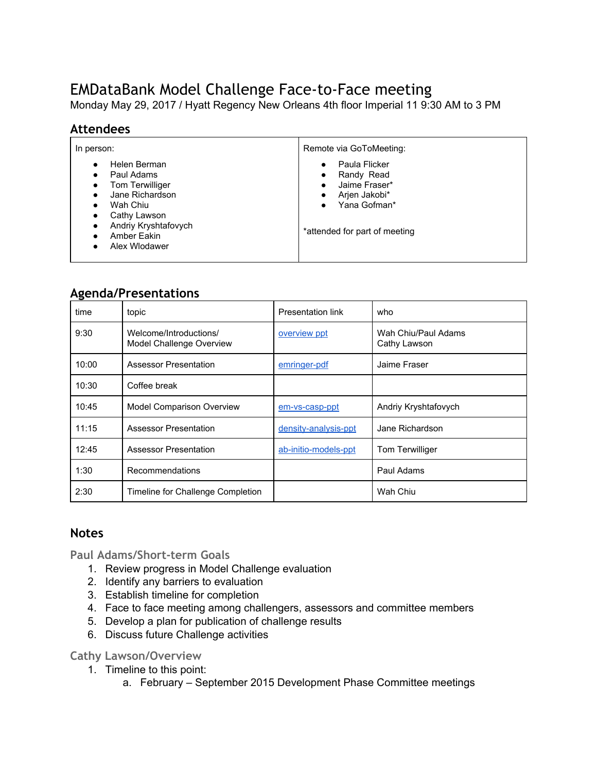# EMDataBank Model Challenge Face-to-Face meeting

Monday May 29, 2017 / Hyatt Regency New Orleans 4th floor Imperial 11 9:30 AM to 3 PM

## **Attendees**

| In person:                                                                                                                                                                                                                                                               | Remote via GoToMeeting:                                                                                                                            |  |
|--------------------------------------------------------------------------------------------------------------------------------------------------------------------------------------------------------------------------------------------------------------------------|----------------------------------------------------------------------------------------------------------------------------------------------------|--|
| Helen Berman<br>$\bullet$<br>Paul Adams<br>$\bullet$<br><b>Tom Terwilliger</b><br>$\bullet$<br>Jane Richardson<br>$\bullet$<br>Wah Chiu<br>$\bullet$<br>Cathy Lawson<br>$\bullet$<br>Andriy Kryshtafovych<br>٠<br>Amber Eakin<br>$\bullet$<br>Alex Wlodawer<br>$\bullet$ | Paula Flicker<br>Randy Read<br>٠<br>Jaime Fraser*<br>$\bullet$<br>Arjen Jakobi*<br>٠<br>Yana Gofman*<br>$\bullet$<br>*attended for part of meeting |  |

# **Agenda/Presentations**

| time  | topic                                              | Presentation link    | who                                 |  |
|-------|----------------------------------------------------|----------------------|-------------------------------------|--|
| 9:30  | Welcome/Introductions/<br>Model Challenge Overview | overview ppt         | Wah Chiu/Paul Adams<br>Cathy Lawson |  |
| 10:00 | <b>Assessor Presentation</b>                       | emringer-pdf         | Jaime Fraser                        |  |
| 10:30 | Coffee break                                       |                      |                                     |  |
| 10:45 | <b>Model Comparison Overview</b>                   | em-vs-casp-ppt       | Andriy Kryshtafovych                |  |
| 11:15 | <b>Assessor Presentation</b>                       | density-analysis-ppt | Jane Richardson                     |  |
| 12:45 | <b>Assessor Presentation</b>                       | ab-initio-models-ppt | Tom Terwilliger                     |  |
| 1:30  | Recommendations                                    |                      | Paul Adams                          |  |
| 2:30  | Timeline for Challenge Completion                  |                      | Wah Chiu                            |  |

## **Notes**

**Paul Adams/Short-term Goals**

- 1. Review progress in Model Challenge evaluation
- 2. Identify any barriers to evaluation
- 3. Establish timeline for completion
- 4. Face to face meeting among challengers, assessors and committee members
- 5. Develop a plan for publication of challenge results
- 6. Discuss future Challenge activities

#### **Cathy Lawson/Overview**

- 1. Timeline to this point:
	- a. February September 2015 Development Phase Committee meetings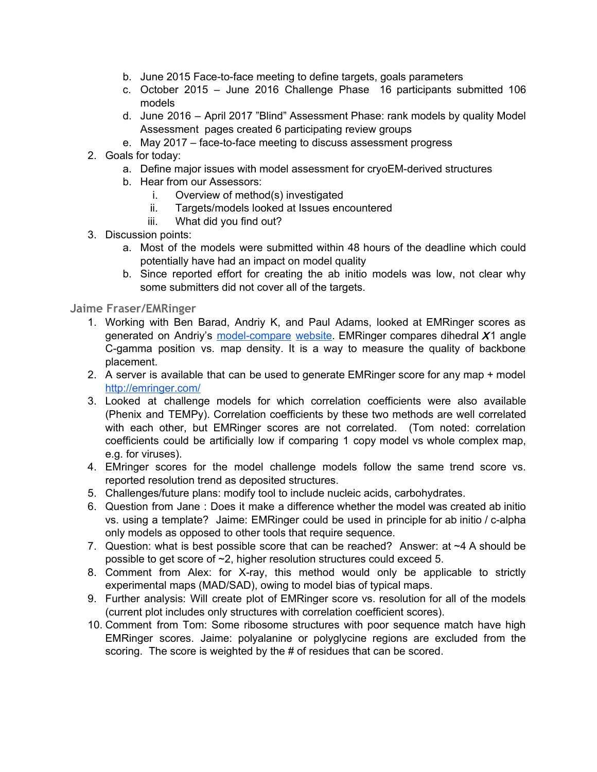- b. June 2015 Face-to-face meeting to define targets, goals parameters
- c. October 2015 June 2016 Challenge Phase 16 participants submitted 106 models
- d. June 2016 April 2017 "Blind" Assessment Phase: rank models by quality Model Assessment pages created 6 participating review groups
- e. May 2017 face-to-face meeting to discuss assessment progress
- 2. Goals for today:
	- a. Define major issues with model assessment for cryoEM-derived structures
	- b. Hear from our Assessors:
		- i. Overview of method(s) investigated
		- ii. Targets/models looked at Issues encountered
		- iii. What did you find out?
- 3. Discussion points:
	- a. Most of the models were submitted within 48 hours of the deadline which could potentially have had an impact on model quality
	- b. Since reported effort for creating the ab initio models was low, not clear why some submitters did not cover all of the targets.

#### **Jaime Fraser/EMRinger**

- 1. Working with Ben Barad, Andriy K, and Paul Adams, looked at EMRinger scores as generated on Andriy's [model-compare](http://model-compare.emdatabank.org/) website. EMRinger compares dihedral  $X1$  angle C-gamma position vs. map density. It is a way to measure the quality of backbone placement.
- 2. A server is available that can be used to generate EMRinger score for any map + model <http://emringer.com/>
- 3. Looked at challenge models for which correlation coefficients were also available (Phenix and TEMPy). Correlation coefficients by these two methods are well correlated with each other, but EMRinger scores are not correlated. (Tom noted: correlation coefficients could be artificially low if comparing 1 copy model vs whole complex map, e.g. for viruses).
- 4. EMringer scores for the model challenge models follow the same trend score vs. reported resolution trend as deposited structures.
- 5. Challenges/future plans: modify tool to include nucleic acids, carbohydrates.
- 6. Question from Jane : Does it make a difference whether the model was created ab initio vs. using a template? Jaime: EMRinger could be used in principle for ab initio / c-alpha only models as opposed to other tools that require sequence.
- 7. Question: what is best possible score that can be reached? Answer: at ~4 A should be possible to get score of ~2, higher resolution structures could exceed 5.
- 8. Comment from Alex: for X-ray, this method would only be applicable to strictly experimental maps (MAD/SAD), owing to model bias of typical maps.
- 9. Further analysis: Will create plot of EMRinger score vs. resolution for all of the models (current plot includes only structures with correlation coefficient scores).
- 10. Comment from Tom: Some ribosome structures with poor sequence match have high EMRinger scores. Jaime: polyalanine or polyglycine regions are excluded from the scoring. The score is weighted by the # of residues that can be scored.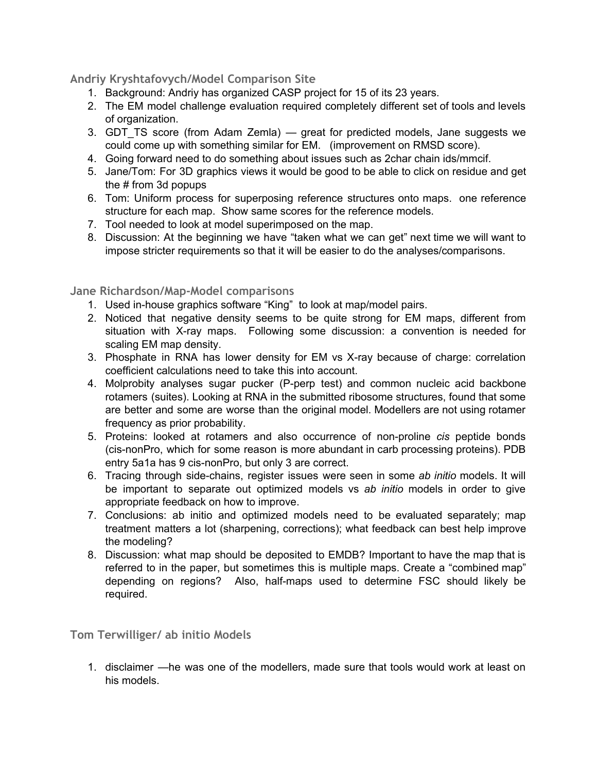# **Andriy Kryshtafovych/Model Comparison Site**

- 1. Background: Andriy has organized CASP project for 15 of its 23 years.
- 2. The EM model challenge evaluation required completely different set of tools and levels of organization.
- 3. GDT\_TS score (from Adam Zemla) great for predicted models, Jane suggests we could come up with something similar for EM. (improvement on RMSD score).
- 4. Going forward need to do something about issues such as 2char chain ids/mmcif.
- 5. Jane/Tom: For 3D graphics views it would be good to be able to click on residue and get the # from 3d popups
- 6. Tom: Uniform process for superposing reference structures onto maps. one reference structure for each map. Show same scores for the reference models.
- 7. Tool needed to look at model superimposed on the map.
- 8. Discussion: At the beginning we have "taken what we can get" next time we will want to impose stricter requirements so that it will be easier to do the analyses/comparisons.

#### **Jane Richardson/Map-Model comparisons**

- 1. Used in-house graphics software "King" to look at map/model pairs.
- 2. Noticed that negative density seems to be quite strong for EM maps, different from situation with X-ray maps. Following some discussion: a convention is needed for scaling EM map density.
- 3. Phosphate in RNA has lower density for EM vs X-ray because of charge: correlation coefficient calculations need to take this into account.
- 4. Molprobity analyses sugar pucker (P-perp test) and common nucleic acid backbone rotamers (suites). Looking at RNA in the submitted ribosome structures, found that some are better and some are worse than the original model. Modellers are not using rotamer frequency as prior probability.
- 5. Proteins: looked at rotamers and also occurrence of non-proline *cis* peptide bonds (cis-nonPro, which for some reason is more abundant in carb processing proteins). PDB entry 5a1a has 9 cis-nonPro, but only 3 are correct.
- 6. Tracing through side-chains, register issues were seen in some *ab initio* models. It will be important to separate out optimized models vs *ab initio* models in order to give appropriate feedback on how to improve.
- 7. Conclusions: ab initio and optimized models need to be evaluated separately; map treatment matters a lot (sharpening, corrections); what feedback can best help improve the modeling?
- 8. Discussion: what map should be deposited to EMDB? Important to have the map that is referred to in the paper, but sometimes this is multiple maps. Create a "combined map" depending on regions? Also, half-maps used to determine FSC should likely be required.

**Tom Terwilliger/ ab initio Models**

1. disclaimer —he was one of the modellers, made sure that tools would work at least on his models.